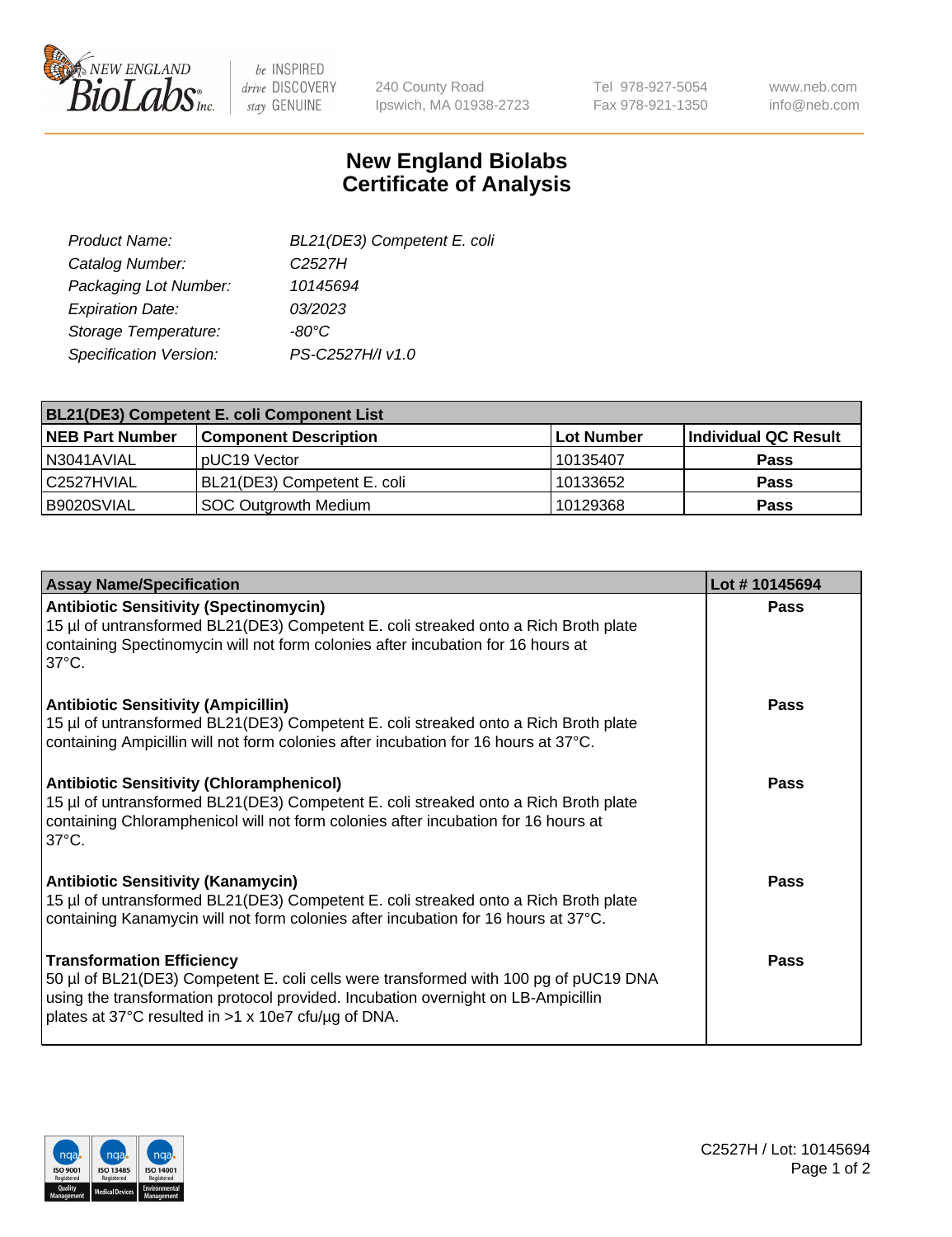

be INSPIRED drive DISCOVERY stay GENUINE

240 County Road Ipswich, MA 01938-2723 Tel 978-927-5054 Fax 978-921-1350 www.neb.com info@neb.com

## **New England Biolabs Certificate of Analysis**

| BL21(DE3) Competent E. coli |
|-----------------------------|
| C <sub>2527</sub> H         |
| 10145694                    |
| 03/2023                     |
| -80°C                       |
| PS-C2527H/I v1.0            |
|                             |

| <b>BL21(DE3) Competent E. coli Component List</b> |                              |            |                      |  |
|---------------------------------------------------|------------------------------|------------|----------------------|--|
| <b>NEB Part Number</b>                            | <b>Component Description</b> | Lot Number | Individual QC Result |  |
| N3041AVIAL                                        | pUC19 Vector                 | 10135407   | <b>Pass</b>          |  |
| C2527HVIAL                                        | BL21(DE3) Competent E. coli  | 10133652   | <b>Pass</b>          |  |
| B9020SVIAL                                        | SOC Outgrowth Medium         | 10129368   | <b>Pass</b>          |  |

| <b>Assay Name/Specification</b>                                                                                                                                                                                                                                      | Lot #10145694 |
|----------------------------------------------------------------------------------------------------------------------------------------------------------------------------------------------------------------------------------------------------------------------|---------------|
| <b>Antibiotic Sensitivity (Spectinomycin)</b><br>15 µl of untransformed BL21(DE3) Competent E. coli streaked onto a Rich Broth plate<br>containing Spectinomycin will not form colonies after incubation for 16 hours at<br>$37^{\circ}$ C.                          | <b>Pass</b>   |
| <b>Antibiotic Sensitivity (Ampicillin)</b><br>15 µl of untransformed BL21(DE3) Competent E. coli streaked onto a Rich Broth plate<br>containing Ampicillin will not form colonies after incubation for 16 hours at 37°C.                                             | Pass          |
| <b>Antibiotic Sensitivity (Chloramphenicol)</b><br>15 µl of untransformed BL21(DE3) Competent E. coli streaked onto a Rich Broth plate<br>containing Chloramphenicol will not form colonies after incubation for 16 hours at<br>$37^{\circ}$ C.                      | Pass          |
| <b>Antibiotic Sensitivity (Kanamycin)</b><br>15 µl of untransformed BL21(DE3) Competent E. coli streaked onto a Rich Broth plate<br>containing Kanamycin will not form colonies after incubation for 16 hours at 37°C.                                               | Pass          |
| <b>Transformation Efficiency</b><br>50 µl of BL21(DE3) Competent E. coli cells were transformed with 100 pg of pUC19 DNA<br>using the transformation protocol provided. Incubation overnight on LB-Ampicillin<br>plates at 37°C resulted in >1 x 10e7 cfu/µg of DNA. | Pass          |